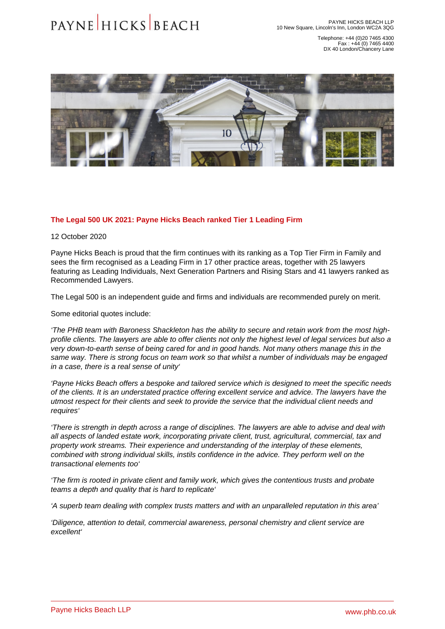Telephone: +44 (0)20 7465 4300 Fax : +44 (0) 7465 4400 DX 40 London/Chancery Lane

## The Legal 500 UK 2021: Payne Hicks Beach ranked Tier 1 Leading Firm

12 October 2020

Payne Hicks Beach is proud that the firm continues with its ranking as a Top Tier Firm in Family and sees the firm recognised as a Leading Firm in 17 other practice areas, together with 25 lawyers featuring as Leading Individuals, Next Generation Partners and Rising Stars and 41 lawyers ranked as Recommended Lawyers.

The Legal 500 is an independent guide and firms and individuals are recommended purely on merit.

Some editorial quotes include:

'The PHB team with Baroness Shackleton has the ability to secure and retain work from the most highprofile clients. The lawyers are able to offer clients not only the highest level of legal services but also a very down-to-earth sense of being cared for and in good hands. Not many others manage this in the same way. There is strong focus on team work so that whilst a number of individuals may be engaged in a case, there is a real sense of unity'

'Payne Hicks Beach offers a bespoke and tailored service which is designed to meet the specific needs of the clients. It is an understated practice offering excellent service and advice. The lawyers have the utmost respect for their clients and seek to provide the service that the individual client needs and requires'

'There is strength in depth across a range of disciplines. The lawyers are able to advise and deal with all aspects of landed estate work, incorporating private client, trust, agricultural, commercial, tax and property work streams. Their experience and understanding of the interplay of these elements, combined with strong individual skills, instils confidence in the advice. They perform well on the transactional elements too'

'The firm is rooted in private client and family work, which gives the contentious trusts and probate teams a depth and quality that is hard to replicate'

'A superb team dealing with complex trusts matters and with an unparalleled reputation in this area'

'Diligence, attention to detail, commercial awareness, personal chemistry and client service are excellent'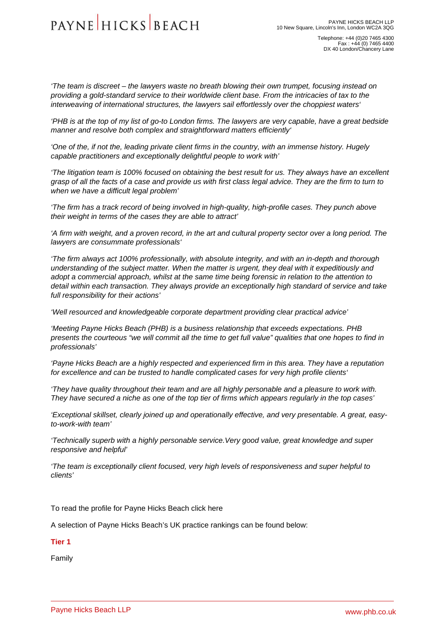'The team is discreet – the lawyers waste no breath blowing their own trumpet, focusing instead on providing a gold-standard service to their worldwide client base. From the intricacies of tax to the interweaving of international structures, the lawyers sail effortlessly over the choppiest waters'

'PHB is at the top of my list of go-to London firms. The lawyers are very capable, have a great bedside manner and resolve both complex and straightforward matters efficiently'

'One of the, if not the, leading private client firms in the country, with an immense history. Hugely capable practitioners and exceptionally delightful people to work with'

'The litigation team is 100% focused on obtaining the best result for us. They always have an excellent grasp of all the facts of a case and provide us with first class legal advice. They are the firm to turn to when we have a difficult legal problem'

'The firm has a track record of being involved in high-quality, high-profile cases. They punch above their weight in terms of the cases they are able to attract'

'A firm with weight, and a proven record, in the art and cultural property sector over a long period. The lawyers are consummate professionals'

'The firm always act 100% professionally, with absolute integrity, and with an in-depth and thorough understanding of the subject matter. When the matter is urgent, they deal with it expeditiously and adopt a commercial approach, whilst at the same time being forensic in relation to the attention to detail within each transaction. They always provide an exceptionally high standard of service and take full responsibility for their actions'

'Well resourced and knowledgeable corporate department providing clear practical advice'

'Meeting Payne Hicks Beach (PHB) is a business relationship that exceeds expectations. PHB presents the courteous "we will commit all the time to get full value" qualities that one hopes to find in professionals'

'Payne Hicks Beach are a highly respected and experienced firm in this area. They have a reputation for excellence and can be trusted to handle complicated cases for very high profile clients'

'They have quality throughout their team and are all highly personable and a pleasure to work with. They have secured a niche as one of the top tier of firms which appears regularly in the top cases'

'Exceptional skillset, clearly joined up and operationally effective, and very presentable. A great, easyto-work-with team'

'Technically superb with a highly personable service.Very good value, great knowledge and super responsive and helpful'

'The team is exceptionally client focused, very high levels of responsiveness and super helpful to clients'

To read the profile for Payne Hicks Beach [click here](�� h t t p s : / / w w w . l e g a l 5 0 0 . c o m / f i r m s / 2 6 0 9 - p a y n e - h i c k s - b e a c h / 3 9 7 - l o n d o n - e n g l a n d /)

A selection of Payne Hicks Beach's UK practice rankings can be found below:

Tier 1

[Family](�� h t t p s : / / w w w . p h b . c o . u k / o u r - s e r v i c e s / f a m i l y)